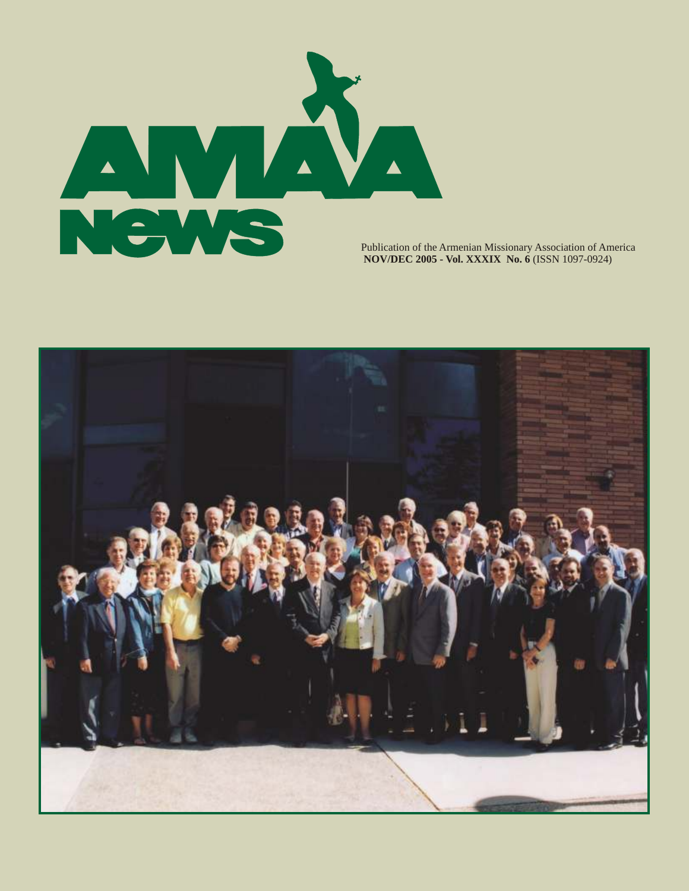

Publication of the Armenian Missionary Association of America  **NOV/DEC 2005 - Vol. XXXIX No. 6** (ISSN 1097-0924)

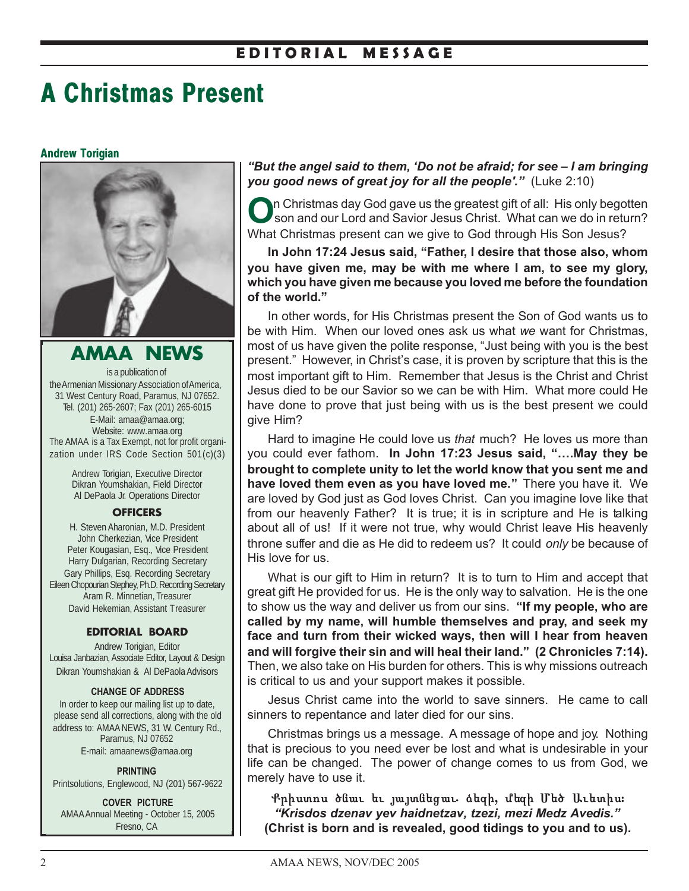## **E D I T O R I A L M E S S A G E**

# **A Christmas Present**

#### **Andrew Torigian**



**AMAA NEWS** is a publication of the Armenian Missionary Association of America, 31 West Century Road, Paramus, NJ 07652. Tel. (201) 265-2607; Fax (201) 265-6015 E-Mail: amaa@amaa.org; Website: www.amaa.org The AMAA is a Tax Exempt, not for profit organization under IRS Code Section 501(c)(3)

> Andrew Torigian, Executive Director Dikran Youmshakian, Field Director Al DePaola Jr. Operations Director

#### **OFFICERS**

H. Steven Aharonian, M.D. President John Cherkezian, Vice President Peter Kougasian, Esq., Vice President Harry Dulgarian, Recording Secretary Gary Phillips, Esq. Recording Secretary Eileen Chopourian Stephey, Ph.D. Recording Secretary Aram R. Minnetian, Treasurer David Hekemian, Assistant Treasurer

#### **EDITORIAL BOARD**

Andrew Torigian, Editor Louisa Janbazian, Associate Editor, Layout & Design Dikran Youmshakian & Al DePaola Advisors

#### **CHANGE OF ADDRESS**

In order to keep our mailing list up to date, please send all corrections, along with the old address to: AMAA NEWS, 31 W. Century Rd., Paramus, NJ 07652 E-mail: amaanews@amaa.org

**PRINTING** Printsolutions, Englewood, NJ (201) 567-9622

**COVER PICTURE** AMAA Annual Meeting - October 15, 2005 Fresno, CA

*"But the angel said to them, 'Do not be afraid; for see – I am bringing you good news of great joy for all the people'."* (Luke 2:10)

**O**n Christmas day God gave us the greatest gift of all: His only begotten son and our Lord and Savior Jesus Christ. What can we do in return? What Christmas present can we give to God through His Son Jesus?

**In John 17:24 Jesus said, "Father, I desire that those also, whom you have given me, may be with me where I am, to see my glory, which you have given me because you loved me before the foundation of the world."**

In other words, for His Christmas present the Son of God wants us to be with Him. When our loved ones ask us what *we* want for Christmas, most of us have given the polite response, "Just being with you is the best present." However, in Christ's case, it is proven by scripture that this is the most important gift to Him. Remember that Jesus is the Christ and Christ Jesus died to be our Savior so we can be with Him. What more could He have done to prove that just being with us is the best present we could give Him?

Hard to imagine He could love us *that* much? He loves us more than you could ever fathom. **In John 17:23 Jesus said, "….May they be brought to complete unity to let the world know that you sent me and have loved them even as you have loved me."** There you have it. We are loved by God just as God loves Christ. Can you imagine love like that from our heavenly Father? It is true; it is in scripture and He is talking about all of us! If it were not true, why would Christ leave His heavenly throne suffer and die as He did to redeem us? It could *only* be because of His love for us.

What is our gift to Him in return? It is to turn to Him and accept that great gift He provided for us. He is the only way to salvation. He is the one to show us the way and deliver us from our sins. **"If my people, who are called by my name, will humble themselves and pray, and seek my face and turn from their wicked ways, then will I hear from heaven and will forgive their sin and will heal their land." (2 Chronicles 7:14).** Then, we also take on His burden for others. This is why missions outreach is critical to us and your support makes it possible.

Jesus Christ came into the world to save sinners. He came to call sinners to repentance and later died for our sins.

Christmas brings us a message. A message of hope and joy. Nothing that is precious to you need ever be lost and what is undesirable in your life can be changed. The power of change comes to us from God, we merely have to use it.

Քրիստոս ծնաւ եւ յայտնեցաւ ձեզի, մեզի Մեծ Աւետիս։ *"Krisdos dzenav yev haidnetzav, tzezi, mezi Medz Avedis."* **(Christ is born and is revealed, good tidings to you and to us).**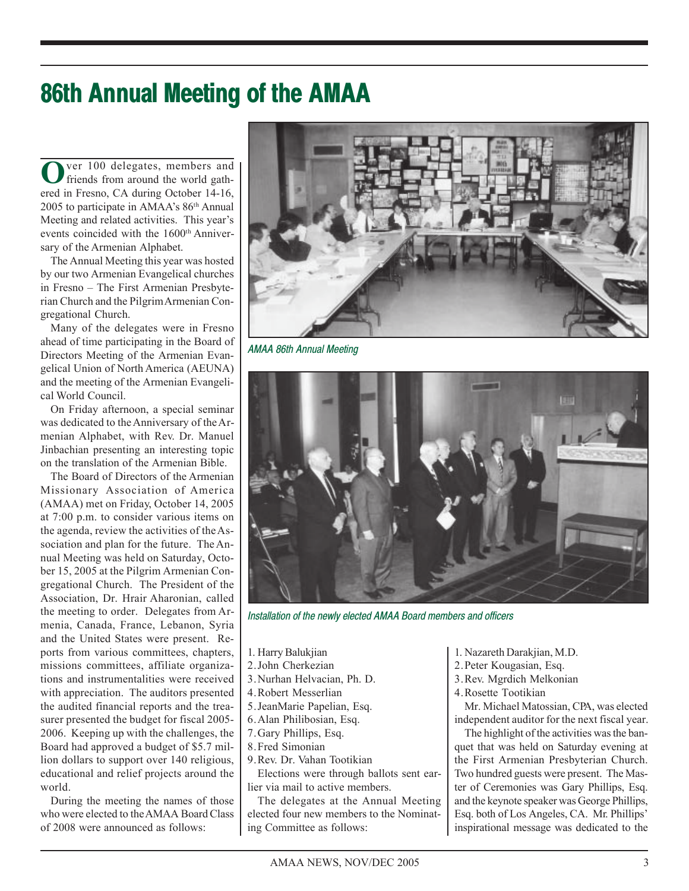# **86th Annual Meeting of the AMAA**

**O**ver 100 delegates, members and friends from around the world gathered in Fresno, CA during October 14-16, 2005 to participate in AMAA's 86th Annual Meeting and related activities. This year's events coincided with the 1600th Anniversary of the Armenian Alphabet.

The Annual Meeting this year was hosted by our two Armenian Evangelical churches in Fresno – The First Armenian Presbyterian Church and the Pilgrim Armenian Congregational Church.

Many of the delegates were in Fresno ahead of time participating in the Board of Directors Meeting of the Armenian Evangelical Union of North America (AEUNA) and the meeting of the Armenian Evangelical World Council.

On Friday afternoon, a special seminar was dedicated to the Anniversary of the Armenian Alphabet, with Rev. Dr. Manuel Jinbachian presenting an interesting topic on the translation of the Armenian Bible.

The Board of Directors of the Armenian Missionary Association of America (AMAA) met on Friday, October 14, 2005 at 7:00 p.m. to consider various items on the agenda, review the activities of the Association and plan for the future. The Annual Meeting was held on Saturday, October 15, 2005 at the Pilgrim Armenian Congregational Church. The President of the Association, Dr. Hrair Aharonian, called the meeting to order. Delegates from Armenia, Canada, France, Lebanon, Syria and the United States were present. Reports from various committees, chapters, missions committees, affiliate organizations and instrumentalities were received with appreciation. The auditors presented the audited financial reports and the treasurer presented the budget for fiscal 2005- 2006. Keeping up with the challenges, the Board had approved a budget of \$5.7 million dollars to support over 140 religious, educational and relief projects around the world.

During the meeting the names of those who were elected to the AMAA Board Class of 2008 were announced as follows:



*AMAA 86th Annual Meeting*



*Installation of the newly elected AMAA Board members and officers*

- 1. Harry Balukjian
- 2. John Cherkezian
- 3.Nurhan Helvacian, Ph. D.
- 4.Robert Messerlian
- 5.JeanMarie Papelian, Esq.
- 6.Alan Philibosian, Esq.
- 7.Gary Phillips, Esq.
- 8.Fred Simonian
- 9.Rev. Dr. Vahan Tootikian

Elections were through ballots sent earlier via mail to active members.

The delegates at the Annual Meeting elected four new members to the Nominating Committee as follows:

- 1. Nazareth Darakjian, M.D.
- 2.Peter Kougasian, Esq.
- 3.Rev. Mgrdich Melkonian
- 4.Rosette Tootikian

Mr. Michael Matossian, CPA, was elected independent auditor for the next fiscal year.

The highlight of the activities was the banquet that was held on Saturday evening at the First Armenian Presbyterian Church. Two hundred guests were present. The Master of Ceremonies was Gary Phillips, Esq. and the keynote speaker was George Phillips, Esq. both of Los Angeles, CA. Mr. Phillips' inspirational message was dedicated to the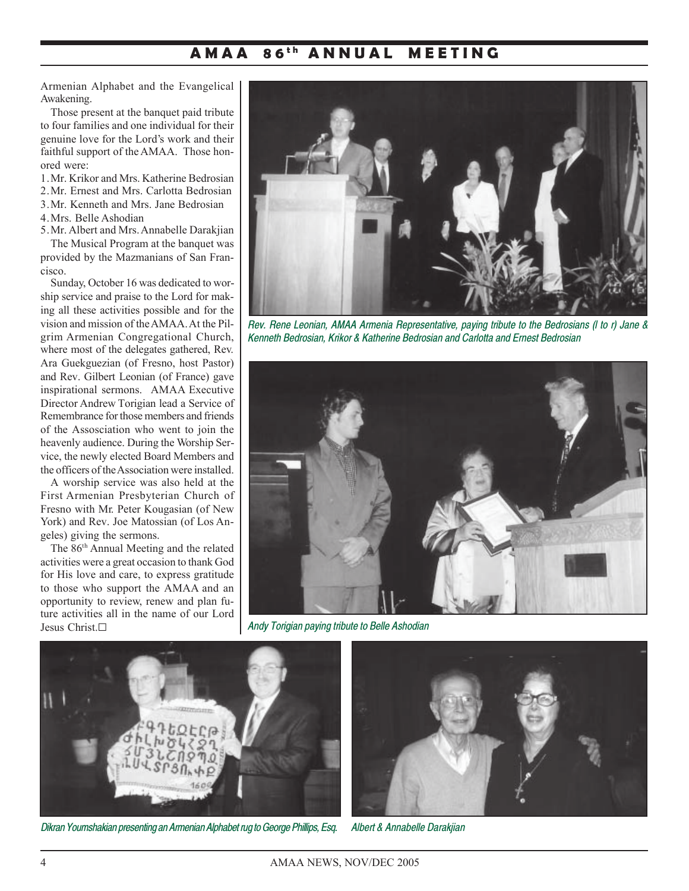### **A M A A 8 6 t h A N N U A L M E E T I N G**

Armenian Alphabet and the Evangelical Awakening.

Those present at the banquet paid tribute to four families and one individual for their genuine love for the Lord's work and their faithful support of the AMAA. Those honored were:

1.Mr. Krikor and Mrs. Katherine Bedrosian

2.Mr. Ernest and Mrs. Carlotta Bedrosian

3.Mr. Kenneth and Mrs. Jane Bedrosian

4.Mrs. Belle Ashodian

5.Mr. Albert and Mrs. Annabelle Darakjian The Musical Program at the banquet was provided by the Mazmanians of San Francisco.

Sunday, October 16 was dedicated to worship service and praise to the Lord for making all these activities possible and for the vision and mission of the AMAA. At the Pilgrim Armenian Congregational Church, where most of the delegates gathered, Rev. Ara Guekguezian (of Fresno, host Pastor) and Rev. Gilbert Leonian (of France) gave inspirational sermons. AMAA Executive Director Andrew Torigian lead a Service of Remembrance for those members and friends of the Assosciation who went to join the heavenly audience. During the Worship Service, the newly elected Board Members and the officers of the Association were installed.

A worship service was also held at the First Armenian Presbyterian Church of Fresno with Mr. Peter Kougasian (of New York) and Rev. Joe Matossian (of Los Angeles) giving the sermons.

The 86th Annual Meeting and the related activities were a great occasion to thank God for His love and care, to express gratitude to those who support the AMAA and an opportunity to review, renew and plan future activities all in the name of our Lord Jesus Christ.G



*Rev. Rene Leonian, AMAA Armenia Representative, paying tribute to the Bedrosians (l to r) Jane & Kenneth Bedrosian, Krikor & Katherine Bedrosian and Carlotta and Ernest Bedrosian*



*Andy Torigian paying tribute to Belle Ashodian*



*Dikran Youmshakian presenting an Armenian Alphabet rug to George Phillips, Esq.*



*Albert & Annabelle Darakjian*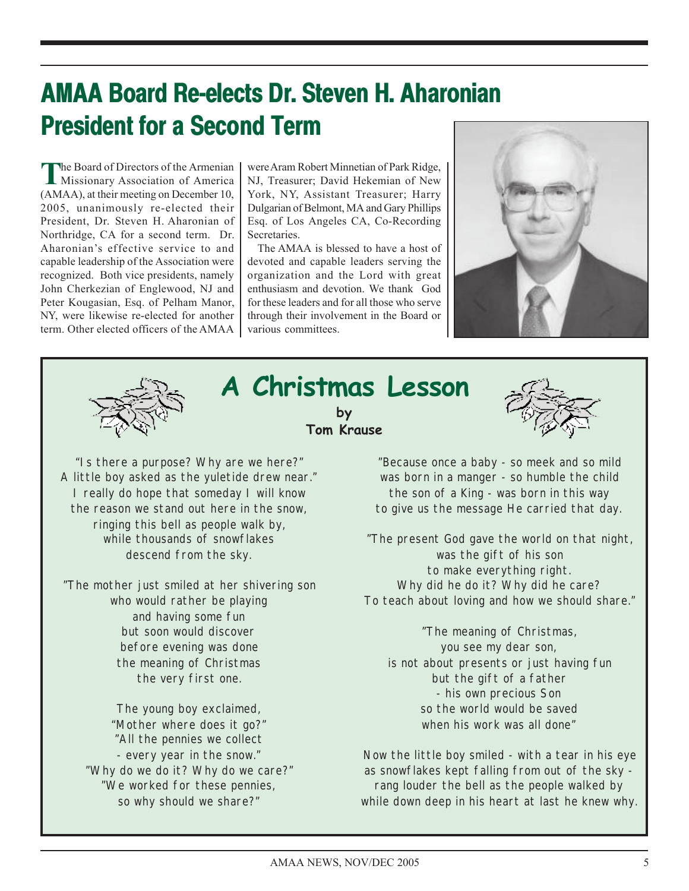# **AMAA Board Re-elects Dr. Steven H. Aharonian President for a Second Term**

**T**he Board of Directors of the Armenian Missionary Association of America (AMAA), at their meeting on December 10, 2005, unanimously re-elected their President, Dr. Steven H. Aharonian of Northridge, CA for a second term. Dr. Aharonian's effective service to and capable leadership of the Association were recognized. Both vice presidents, namely John Cherkezian of Englewood, NJ and Peter Kougasian, Esq. of Pelham Manor, NY, were likewise re-elected for another term. Other elected officers of the AMAA were Aram Robert Minnetian of Park Ridge, NJ, Treasurer; David Hekemian of New York, NY, Assistant Treasurer; Harry Dulgarian of Belmont, MA and Gary Phillips Esq. of Los Angeles CA, Co-Recording Secretaries.

The AMAA is blessed to have a host of devoted and capable leaders serving the organization and the Lord with great enthusiasm and devotion. We thank God for these leaders and for all those who serve through their involvement in the Board or various committees.





# **A Christmas Lesson A Christmas by Tom Krause**



"Is there a purpose? Why are we here?" A little boy asked as the yuletide drew near." I really do hope that someday I will know the reason we stand out here in the snow, ringing this bell as people walk by, while thousands of snowflakes descend from the sky.

"The mother just smiled at her shivering son who would rather be playing and having some fun but soon would discover before evening was done the meaning of Christmas the very first one.

The young boy exclaimed, "Mother where does it go?" "All the pennies we collect - every year in the snow." "Why do we do it? Why do we care?" "We worked for these pennies, so why should we share?"

"Because once a baby - so meek and so mild was born in a manger - so humble the child the son of a King - was born in this way to give us the message He carried that day.

"The present God gave the world on that night, was the gift of his son to make everything right. Why did he do it? Why did he care? To teach about loving and how we should share."

"The meaning of Christmas, you see my dear son, is not about presents or just having fun but the gift of a father - his own precious Son so the world would be saved when his work was all done"

Now the little boy smiled - with a tear in his eye as snowflakes kept falling from out of the sky rang louder the bell as the people walked by while down deep in his heart at last he knew why.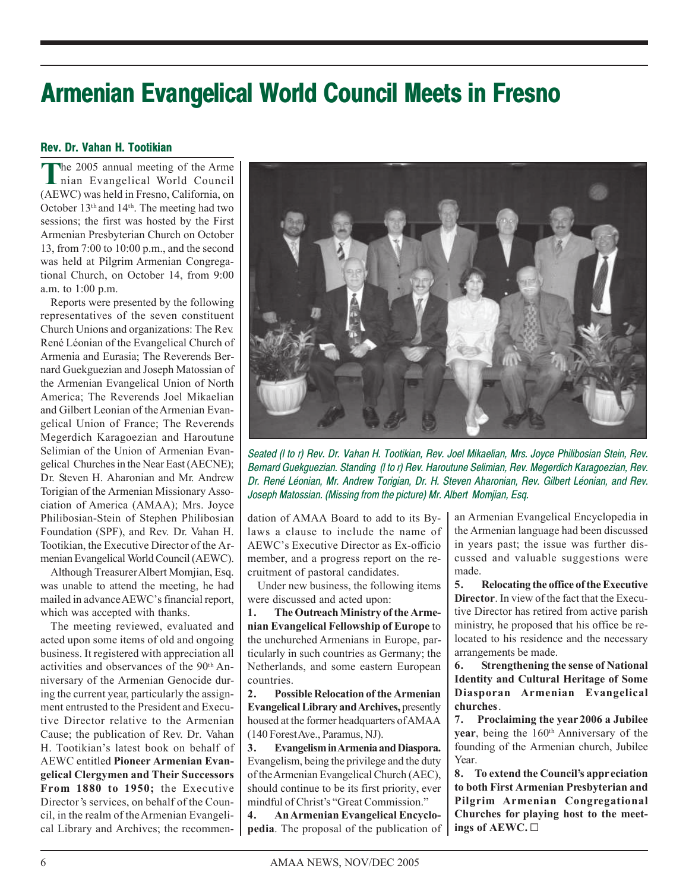# **Armenian Evangelical World Council Meets in Fresno**

### **Rev. Dr. Vahan H. Tootikian**

**T**he 2005 annual meeting of the Arme nian Evangelical World Council (AEWC) was held in Fresno, California, on October 13th and 14th. The meeting had two sessions; the first was hosted by the First Armenian Presbyterian Church on October 13, from 7:00 to 10:00 p.m., and the second was held at Pilgrim Armenian Congregational Church, on October 14, from 9:00 a.m. to 1:00 p.m.

Reports were presented by the following representatives of the seven constituent Church Unions and organizations: The Rev. René Léonian of the Evangelical Church of Armenia and Eurasia; The Reverends Bernard Guekguezian and Joseph Matossian of the Armenian Evangelical Union of North America; The Reverends Joel Mikaelian and Gilbert Leonian of the Armenian Evangelical Union of France; The Reverends Megerdich Karagoezian and Haroutune Selimian of the Union of Armenian Evangelical Churches in the Near East (AECNE); Dr. Steven H. Aharonian and Mr. Andrew Torigian of the Armenian Missionary Association of America (AMAA); Mrs. Joyce Philibosian-Stein of Stephen Philibosian Foundation (SPF), and Rev. Dr. Vahan H. Tootikian, the Executive Director of the Armenian Evangelical World Council (AEWC).

Although Treasurer Albert Momjian, Esq. was unable to attend the meeting, he had mailed in advance AEWC's financial report, which was accepted with thanks.

The meeting reviewed, evaluated and acted upon some items of old and ongoing business. It registered with appreciation all activities and observances of the 90<sup>th</sup> Anniversary of the Armenian Genocide during the current year, particularly the assignment entrusted to the President and Executive Director relative to the Armenian Cause; the publication of Rev. Dr. Vahan H. Tootikian's latest book on behalf of AEWC entitled **Pioneer Armenian Evangelical Clergymen and Their Successors From 1880 to 1950;** the Executive Director's services, on behalf of the Council, in the realm of the Armenian Evangelical Library and Archives; the recommen-



*Seated (l to r) Rev. Dr. Vahan H. Tootikian, Rev. Joel Mikaelian, Mrs. Joyce Philibosian Stein, Rev. Bernard Guekguezian. Standing (l to r) Rev. Haroutune Selimian, Rev. Megerdich Karagoezian, Rev. Dr. René Léonian, Mr. Andrew Torigian, Dr. H. Steven Aharonian, Rev. Gilbert Léonian, and Rev. Joseph Matossian. (Missing from the picture) Mr. Albert Momjian, Esq.*

dation of AMAA Board to add to its Bylaws a clause to include the name of AEWC's Executive Director as Ex-officio member, and a progress report on the recruitment of pastoral candidates.

Under new business, the following items were discussed and acted upon:

**1. The Outreach Ministry of the Armenian Evangelical Fellowship of Europe** to the unchurched Armenians in Europe, particularly in such countries as Germany; the Netherlands, and some eastern European countries.

**2. Possible Relocation of the Armenian Evangelical Library and Archives,** presently housed at the former headquarters of AMAA (140 Forest Ave., Paramus, NJ).

**3. Evangelism in Armenia and Diaspora.** Evangelism, being the privilege and the duty of the Armenian Evangelical Church (AEC), should continue to be its first priority, ever mindful of Christ's "Great Commission."

**4. An Armenian Evangelical Encyclopedia**. The proposal of the publication of an Armenian Evangelical Encyclopedia in the Armenian language had been discussed in years past; the issue was further discussed and valuable suggestions were made.

**5. Relocating the office of the Executive Director**. In view of the fact that the Executive Director has retired from active parish ministry, he proposed that his office be relocated to his residence and the necessary arrangements be made.

**6. Strengthening the sense of National Identity and Cultural Heritage of Some Diasporan Armenian Evangelical churches**.

**7. Proclaiming the year 2006 a Jubilee year**, being the 160<sup>th</sup> Anniversary of the founding of the Armenian church, Jubilee Year.

**8. To extend the Council's appreciation to both First Armenian Presbyterian and Pilgrim Armenian Congregational Churches for playing host to the meetings of AEWC.** G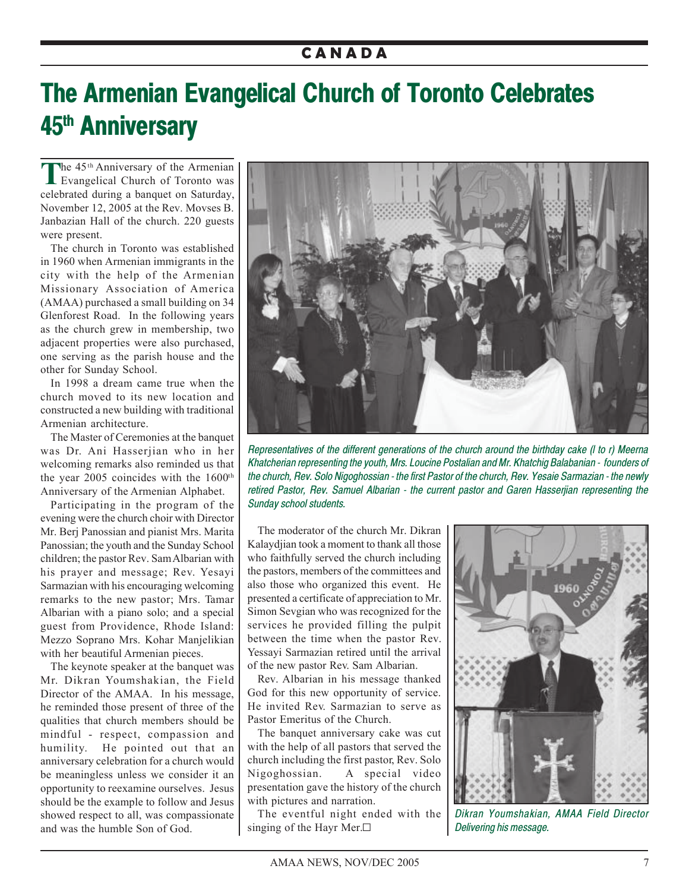## **C A N A D A**

# **The Armenian Evangelical Church of Toronto Celebrates 45th Anniversary**

The 45<sup>th</sup> Anniversary of the Armenian<br>Evangelical Church of Toronto was celebrated during a banquet on Saturday, November 12, 2005 at the Rev. Movses B. Janbazian Hall of the church. 220 guests were present.

The church in Toronto was established in 1960 when Armenian immigrants in the city with the help of the Armenian Missionary Association of America (AMAA) purchased a small building on 34 Glenforest Road. In the following years as the church grew in membership, two adjacent properties were also purchased, one serving as the parish house and the other for Sunday School.

In 1998 a dream came true when the church moved to its new location and constructed a new building with traditional Armenian architecture.

The Master of Ceremonies at the banquet was Dr. Ani Hasserjian who in her welcoming remarks also reminded us that the year 2005 coincides with the 1600th Anniversary of the Armenian Alphabet.

Participating in the program of the evening were the church choir with Director Mr. Berj Panossian and pianist Mrs. Marita Panossian; the youth and the Sunday School children; the pastor Rev. Sam Albarian with his prayer and message; Rev. Yesayi Sarmazian with his encouraging welcoming remarks to the new pastor; Mrs. Tamar Albarian with a piano solo; and a special guest from Providence, Rhode Island: Mezzo Soprano Mrs. Kohar Manjelikian with her beautiful Armenian pieces.

The keynote speaker at the banquet was Mr. Dikran Youmshakian, the Field Director of the AMAA. In his message, he reminded those present of three of the qualities that church members should be mindful - respect, compassion and humility. He pointed out that an anniversary celebration for a church would be meaningless unless we consider it an opportunity to reexamine ourselves. Jesus should be the example to follow and Jesus showed respect to all, was compassionate and was the humble Son of God.



*Representatives of the different generations of the church around the birthday cake (l to r) Meerna Khatcherian representing the youth, Mrs. Loucine Postalian and Mr. Khatchig Balabanian - founders of the church, Rev. Solo Nigoghossian - the first Pastor of the church, Rev. Yesaie Sarmazian - the newly retired Pastor, Rev. Samuel Albarian - the current pastor and Garen Hasserjian representing the Sunday school students.*

The moderator of the church Mr. Dikran Kalaydjian took a moment to thank all those who faithfully served the church including the pastors, members of the committees and also those who organized this event. He presented a certificate of appreciation to Mr. Simon Sevgian who was recognized for the services he provided filling the pulpit between the time when the pastor Rev. Yessayi Sarmazian retired until the arrival of the new pastor Rev. Sam Albarian.

Rev. Albarian in his message thanked God for this new opportunity of service. He invited Rev. Sarmazian to serve as Pastor Emeritus of the Church.

The banquet anniversary cake was cut with the help of all pastors that served the church including the first pastor, Rev. Solo Nigoghossian. A special video presentation gave the history of the church with pictures and narration.

The eventful night ended with the singing of the Hayr Mer. $\square$ 



*Dikran Youmshakian, AMAA Field Director Delivering his message.*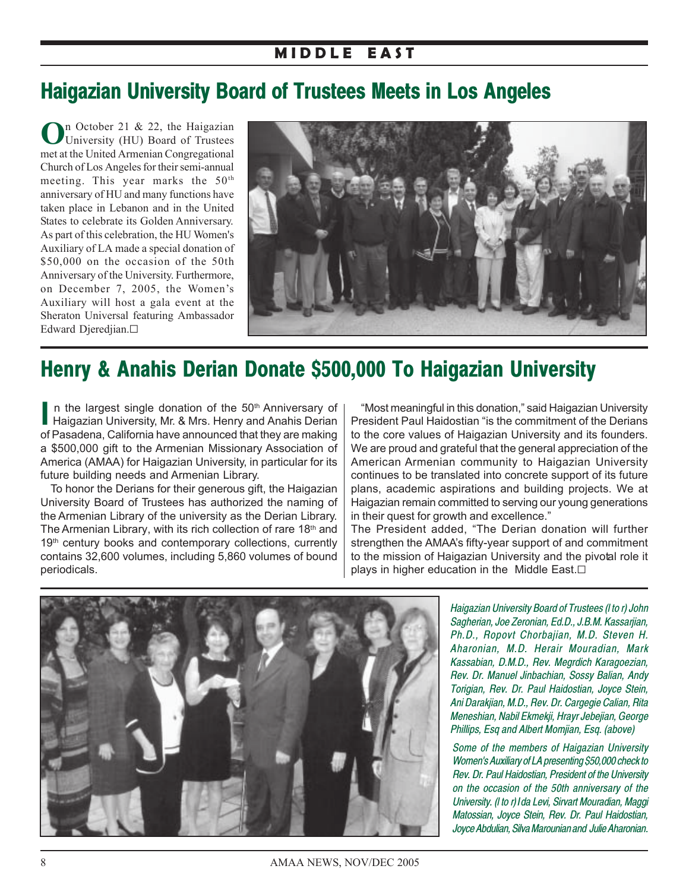# **Haigazian University Board of Trustees Meets in Los Angeles**

**O**n October 21 & 22, the Haigazian University (HU) Board of Trustees met at the United Armenian Congregational Church of Los Angeles for their semi-annual meeting. This year marks the  $50<sup>th</sup>$ anniversary of HU and many functions have taken place in Lebanon and in the United States to celebrate its Golden Anniversary. As part of this celebration, the HU Women's Auxiliary of LA made a special donation of \$50,000 on the occasion of the 50th Anniversary of the University. Furthermore, on December 7, 2005, the Women's Auxiliary will host a gala event at the Sheraton Universal featuring Ambassador Edward Djeredjian.G



# **Henry & Anahis Derian Donate \$500,000 To Haigazian University**

**I** n the largest single donation of the 50<sup>th</sup> Anniversary of Haigazian University, Mr. & Mrs. Henry and Anahis Derian of Pasadena, California have announced that they are making a \$500,000 gift to the Armenian Missionary Association of America (AMAA) for Haigazian University, in particular for its future building needs and Armenian Library.

To honor the Derians for their generous gift, the Haigazian University Board of Trustees has authorized the naming of the Armenian Library of the university as the Derian Library. The Armenian Library, with its rich collection of rare 18<sup>th</sup> and 19<sup>th</sup> century books and contemporary collections, currently contains 32,600 volumes, including 5,860 volumes of bound periodicals.

"Most meaningful in this donation," said Haigazian University President Paul Haidostian "is the commitment of the Derians to the core values of Haigazian University and its founders. We are proud and grateful that the general appreciation of the American Armenian community to Haigazian University continues to be translated into concrete support of its future plans, academic aspirations and building projects. We at Haigazian remain committed to serving our young generations in their quest for growth and excellence."

The President added, "The Derian donation will further strengthen the AMAA's fifty-year support of and commitment to the mission of Haigazian University and the pivotal role it plays in higher education in the Middle East. $\square$ 



*Haigazian University Board of Trustees (l to r) John Sagherian, Joe Zeronian, Ed.D., J.B.M. Kassarjian, Ph.D., Ropovt Chorbajian, M.D. Steven H. Aharonian, M.D. Herair Mouradian, Mark Kassabian, D.M.D., Rev. Megrdich Karagoezian, Rev. Dr. Manuel Jinbachian, Sossy Balian, Andy Torigian, Rev. Dr. Paul Haidostian, Joyce Stein, Ani Darakjian, M.D., Rev. Dr. Cargegie Calian, Rita Meneshian, Nabil Ekmekji, Hrayr Jebejian, George Phillips, Esq and Albert Momjian, Esq. (above)*

*Some of the members of Haigazian University Women's Auxiliary of LA presenting \$50,000 check to Rev. Dr. Paul Haidostian, President of the University on the occasion of the 50th anniversary of the University. (l to r) Ida Levi, Sirvart Mouradian, Maggi Matossian, Joyce Stein, Rev. Dr. Paul Haidostian, Joyce Abdulian, Silva Marounian and Julie Aharonian.*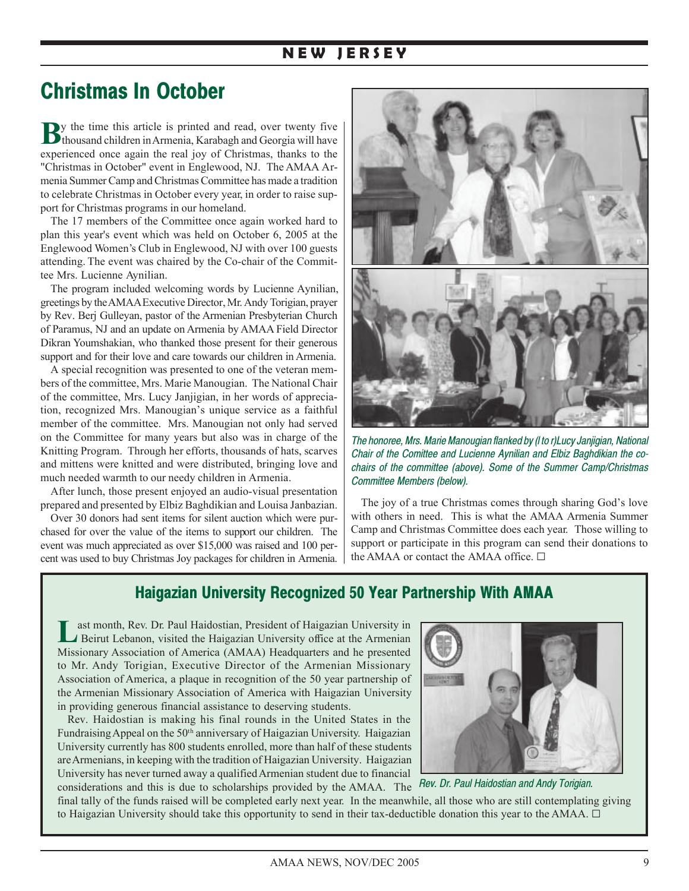## **N E W J E R S E Y**

# **Christmas In October**

By the time this article is printed and read, over twenty five thousand children in Armenia, Karabagh and Georgia will have experienced once again the real joy of Christmas, thanks to the "Christmas in October" event in Englewood, NJ. The AMAA Armenia Summer Camp and Christmas Committee has made a tradition to celebrate Christmas in October every year, in order to raise support for Christmas programs in our homeland.

The 17 members of the Committee once again worked hard to plan this year's event which was held on October 6, 2005 at the Englewood Women's Club in Englewood, NJ with over 100 guests attending. The event was chaired by the Co-chair of the Committee Mrs. Lucienne Aynilian.

The program included welcoming words by Lucienne Aynilian, greetings by the AMAA Executive Director, Mr. Andy Torigian, prayer by Rev. Berj Gulleyan, pastor of the Armenian Presbyterian Church of Paramus, NJ and an update on Armenia by AMAA Field Director Dikran Youmshakian, who thanked those present for their generous support and for their love and care towards our children in Armenia.

A special recognition was presented to one of the veteran members of the committee, Mrs. Marie Manougian. The National Chair of the committee, Mrs. Lucy Janjigian, in her words of appreciation, recognized Mrs. Manougian's unique service as a faithful member of the committee. Mrs. Manougian not only had served on the Committee for many years but also was in charge of the Knitting Program. Through her efforts, thousands of hats, scarves and mittens were knitted and were distributed, bringing love and much needed warmth to our needy children in Armenia.

After lunch, those present enjoyed an audio-visual presentation prepared and presented by Elbiz Baghdikian and Louisa Janbazian.

Over 30 donors had sent items for silent auction which were purchased for over the value of the items to support our children. The event was much appreciated as over \$15,000 was raised and 100 percent was used to buy Christmas Joy packages for children in Armenia.



*The honoree, Mrs. Marie Manougian flanked by (l to r)Lucy Janjigian, National Chair of the Comittee and Lucienne Aynilian and Elbiz Baghdikian the cochairs of the committee (above). Some of the Summer Camp/Christmas Committee Members (below).*

The joy of a true Christmas comes through sharing God's love with others in need. This is what the AMAA Armenia Summer Camp and Christmas Committee does each year. Those willing to support or participate in this program can send their donations to the AMAA or contact the AMAA office.  $\Box$ 

## **Haigazian University Recognized 50 Year Partnership With AMAA**

ast month, Rev. Dr. Paul Haidostian, President of Haigazian University in Beirut Lebanon, visited the Haigazian University office at the Armenian Missionary Association of America (AMAA) Headquarters and he presented to Mr. Andy Torigian, Executive Director of the Armenian Missionary Association of America, a plaque in recognition of the 50 year partnership of the Armenian Missionary Association of America with Haigazian University in providing generous financial assistance to deserving students.

Rev. Haidostian is making his final rounds in the United States in the Fundraising Appeal on the 50<sup>th</sup> anniversary of Haigazian University. Haigazian University currently has 800 students enrolled, more than half of these students are Armenians, in keeping with the tradition of Haigazian University. Haigazian University has never turned away a qualified Armenian student due to financial



*Rev. Dr. Paul Haidostian and Andy Torigian.*

considerations and this is due to scholarships provided by the AMAA. The final tally of the funds raised will be completed early next year. In the meanwhile, all those who are still contemplating giving to Haigazian University should take this opportunity to send in their tax-deductible donation this year to the AMAA. G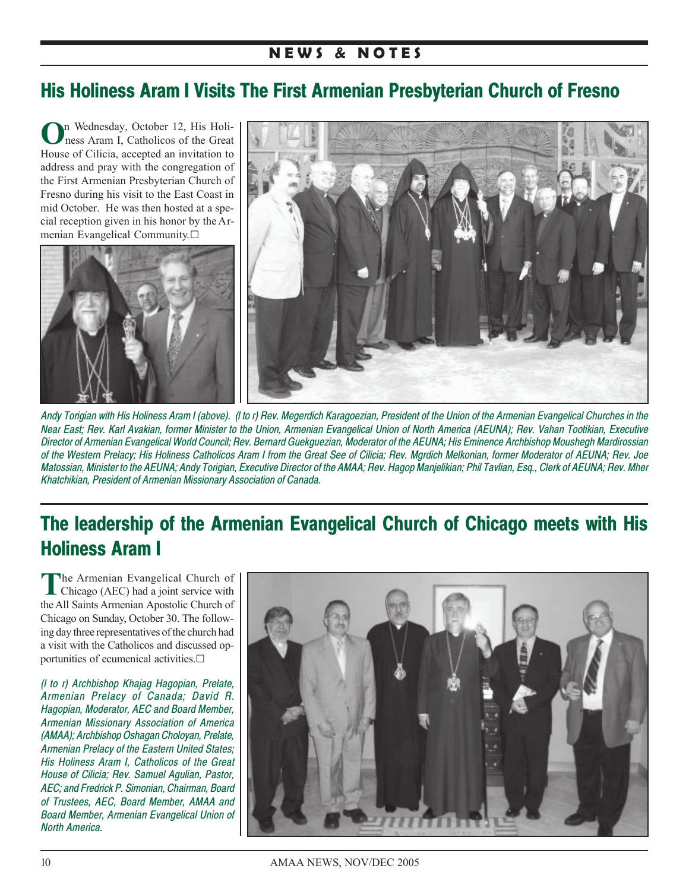### **N E W S & N O T E S**

## **His Holiness Aram I Visits The First Armenian Presbyterian Church of Fresno**

**O**n Wednesday, October 12, His Holiness Aram I, Catholicos of the Great House of Cilicia, accepted an invitation to address and pray with the congregation of the First Armenian Presbyterian Church of Fresno during his visit to the East Coast in mid October. He was then hosted at a special reception given in his honor by the Armenian Evangelical Community.G





*Andy Torigian with His Holiness Aram I (above). (l to r) Rev. Megerdich Karagoezian, President of the Union of the Armenian Evangelical Churches in the Near East; Rev. Karl Avakian, former Minister to the Union, Armenian Evangelical Union of North America (AEUNA); Rev. Vahan Tootikian, Executive Director of Armenian Evangelical World Council; Rev. Bernard Guekguezian, Moderator of the AEUNA; His Eminence Archbishop Moushegh Mardirossian of the Western Prelacy; His Holiness Catholicos Aram I from the Great See of Cilicia; Rev. Mgrdich Melkonian, former Moderator of AEUNA; Rev. Joe Matossian, Minister to the AEUNA; Andy Torigian, Executive Director of the AMAA; Rev. Hagop Manjelikian; Phil Tavlian, Esq., Clerk of AEUNA; Rev. Mher Khatchikian, President of Armenian Missionary Association of Canada.*

# **The leadership of the Armenian Evangelical Church of Chicago meets with His Holiness Aram I**

The Armenian Evangelical Church of Chicago (AEC) had a joint service with the All Saints Armenian Apostolic Church of Chicago on Sunday, October 30. The following day three representatives of the church had a visit with the Catholicos and discussed opportunities of ecumenical activities. $\Box$ 

*(l to r) Archbishop Khajag Hagopian, Prelate, Armenian Prelacy of Canada; David R. Hagopian, Moderator, AEC and Board Member, Armenian Missionary Association of America (AMAA); Archbishop Oshagan Choloyan, Prelate, Armenian Prelacy of the Eastern United States; His Holiness Aram I, Catholicos of the Great House of Cilicia; Rev. Samuel Agulian, Pastor, AEC; and Fredrick P. Simonian, Chairman, Board of Trustees, AEC, Board Member, AMAA and Board Member, Armenian Evangelical Union of North America.*

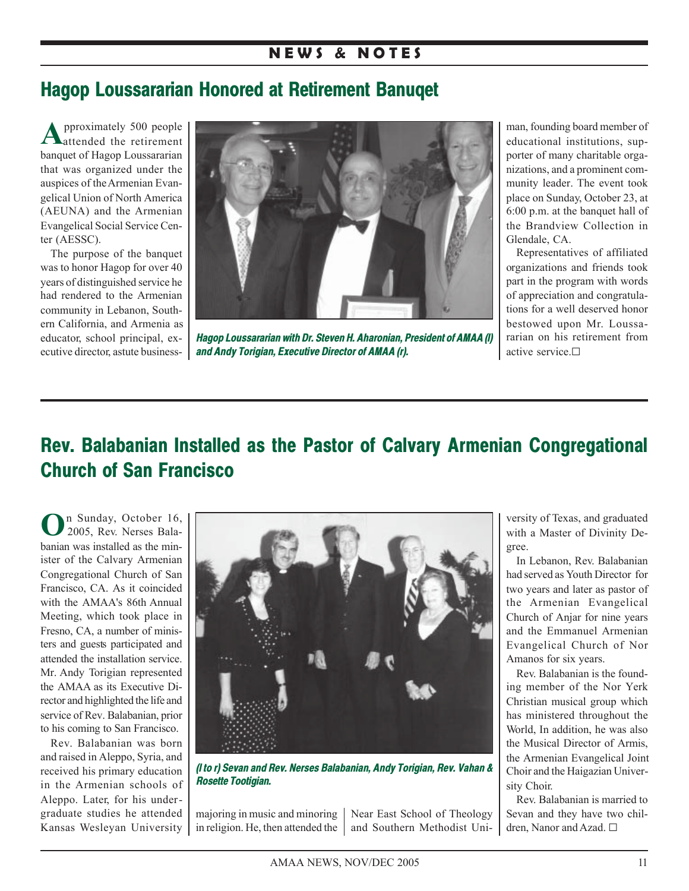### **N E W S & N O T E S**

# **Hagop Loussararian Honored at Retirement Banuqet**

**A**pproximately 500 people attended the retirement banquet of Hagop Loussararian that was organized under the auspices of the Armenian Evangelical Union of North America (AEUNA) and the Armenian Evangelical Social Service Center (AESSC).

The purpose of the banquet was to honor Hagop for over 40 years of distinguished service he had rendered to the Armenian community in Lebanon, Southern California, and Armenia as educator, school principal, executive director, astute business-



*Hagop Loussararian with Dr. Steven H. Aharonian, President of AMAA (l) and Andy Torigian, Executive Director of AMAA (r).*

man, founding board member of educational institutions, supporter of many charitable organizations, and a prominent community leader. The event took place on Sunday, October 23, at 6:00 p.m. at the banquet hall of the Brandview Collection in Glendale, CA.

Representatives of affiliated organizations and friends took part in the program with words of appreciation and congratulations for a well deserved honor bestowed upon Mr. Loussararian on his retirement from active service.<sup>[]</sup>

# **Rev. Balabanian Installed as the Pastor of Calvary Armenian Congregational Church of San Francisco**

**O**n Sunday, October 16, 2005, Rev. Nerses Balabanian was installed as the minister of the Calvary Armenian Congregational Church of San Francisco, CA. As it coincided with the AMAA's 86th Annual Meeting, which took place in Fresno, CA, a number of ministers and guests participated and attended the installation service. Mr. Andy Torigian represented the AMAA as its Executive Director and highlighted the life and service of Rev. Balabanian, prior to his coming to San Francisco.

Rev. Balabanian was born and raised in Aleppo, Syria, and received his primary education in the Armenian schools of Aleppo. Later, for his undergraduate studies he attended Kansas Wesleyan University



*(l to r) Sevan and Rev. Nerses Balabanian, Andy Torigian, Rev. Vahan & Rosette Tootigian.*

majoring in music and minoring Near East School of Theology in religion. He, then attended the  $\parallel$  and Southern Methodist Uni-

versity of Texas, and graduated with a Master of Divinity Degree.

In Lebanon, Rev. Balabanian had served as Youth Director for two years and later as pastor of the Armenian Evangelical Church of Anjar for nine years and the Emmanuel Armenian Evangelical Church of Nor Amanos for six years.

Rev. Balabanian is the founding member of the Nor Yerk Christian musical group which has ministered throughout the World, In addition, he was also the Musical Director of Armis, the Armenian Evangelical Joint Choir and the Haigazian University Choir.

Rev. Balabanian is married to Sevan and they have two children, Nanor and Azad. □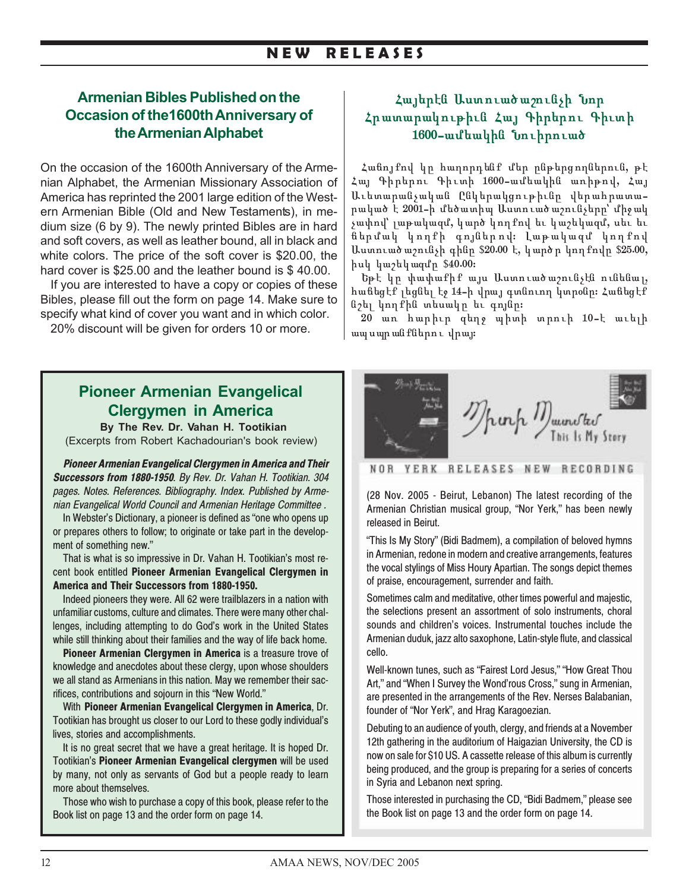### **N E W R E L E A S E S**

### **Armenian Bibles Published on the Occasion of the1600th Anniversary of the Armenian Alphabet**

On the occasion of the 1600th Anniversary of the Armenian Alphabet, the Armenian Missionary Association of America has reprinted the 2001 large edition of the Western Armenian Bible (Old and New Testaments), in medium size (6 by 9). The newly printed Bibles are in hard and soft covers, as well as leather bound, all in black and white colors. The price of the soft cover is \$20.00, the hard cover is \$25.00 and the leather bound is \$40.00.

If you are interested to have a copy or copies of these Bibles, please fill out the form on page 14. Make sure to specify what kind of cover you want and in which color.

20% discount will be given for orders 10 or more.

## **Pioneer Armenian Evangelical Clergymen in America**

 **By The Rev. Dr. Vahan H. Tootikian** (Excerpts from Robert Kachadourian's book review)

*Pioneer Armenian Evangelical Clergymen in America and Their Successors from 1880-1950*. *By Rev. Dr. Vahan H. Tootikian. 304 pages. Notes. References. Bibliography. Index. Published by Armenian Evangelical World Council and Armenian Heritage Committee .*

In Webster's Dictionary, a pioneer is defined as "one who opens up or prepares others to follow; to originate or take part in the development of something new."

That is what is so impressive in Dr. Vahan H. Tootikian's most recent book entitled **Pioneer Armenian Evangelical Clergymen in America and Their Successors from 1880-1950.**

Indeed pioneers they were. All 62 were trailblazers in a nation with unfamiliar customs, culture and climates. There were many other challenges, including attempting to do God's work in the United States while still thinking about their families and the way of life back home.

**Pioneer Armenian Clergymen in America** is a treasure trove of knowledge and anecdotes about these clergy, upon whose shoulders we all stand as Armenians in this nation. May we remember their sacrifices, contributions and sojourn in this "New World."

With **Pioneer Armenian Evangelical Clergymen in America**, Dr. Tootikian has brought us closer to our Lord to these godly individual's lives, stories and accomplishments.

It is no great secret that we have a great heritage. It is hoped Dr. Tootikian's **Pioneer Armenian Evangelical clergymen** will be used by many, not only as servants of God but a people ready to learn more about themselves.

Those who wish to purchase a copy of this book, please refer to the Book list on page 13 and the order form on page 14.

### Հայերէն Աստուածա*շ*ունչի Նոր Հրատարակութիւն Հայ Գիրերու Գիւտի 1600-ամեակին **Նո**ւիրուած

Հանոյքով կը հաղորդենք մեր ընթերցողներուն, թէ Հայ Գիրերու Գիւտի 1600-ամեակին առիթով, Հայ Աւետարանչական Ընկերակցութիւնը վերահրատարակած է 2001-ի մեծատիպ Աստուածաշունչերը՝ միջակ չափով՝ լաթակազմ, կարծ կողքով եւ կաշեկազմ, սեւ եւ ճերմակ կողքի գոյներով։ Լաթակազմ կողքով Աստուած աշունչի գինը \$20.00 է, կարծ ը կող քովը \$25.00,  $h$ u $h$  կաշեկազմը \$40.00:

 $b$ թէ կր փափաքիք այս Աստուածաշունչէն ունենալ, hանեցէք լեցնել էջ 14-ի վրայ գտնուող կտրօնը։ Հաճեցէք նշել կողքին տեսակը եւ գոյնը։

 $20$  առ հարիւր գեղջ պիտի տրուի 10-է աւելի ապսպրանքներու վրայ։



NOR YERK RELEASES NEW RECORDING

(28 Nov. 2005 - Beirut, Lebanon) The latest recording of the Armenian Christian musical group, "Nor Yerk," has been newly released in Beirut.

"This Is My Story" (Bidi Badmem), a compilation of beloved hymns in Armenian, redone in modern and creative arrangements, features the vocal stylings of Miss Houry Apartian. The songs depict themes of praise, encouragement, surrender and faith.

Sometimes calm and meditative, other times powerful and majestic, the selections present an assortment of solo instruments, choral sounds and children's voices. Instrumental touches include the Armenian duduk, jazz alto saxophone, Latin-style flute, and classical cello.

Well-known tunes, such as "Fairest Lord Jesus," "How Great Thou Art," and "When I Survey the Wond'rous Cross," sung in Armenian, are presented in the arrangements of the Rev. Nerses Balabanian, founder of "Nor Yerk", and Hrag Karagoezian.

Debuting to an audience of youth, clergy, and friends at a November 12th gathering in the auditorium of Haigazian University, the CD is now on sale for \$10 US. A cassette release of this album is currently being produced, and the group is preparing for a series of concerts in Syria and Lebanon next spring.

Those interested in purchasing the CD, "Bidi Badmem," please see the Book list on page 13 and the order form on page 14.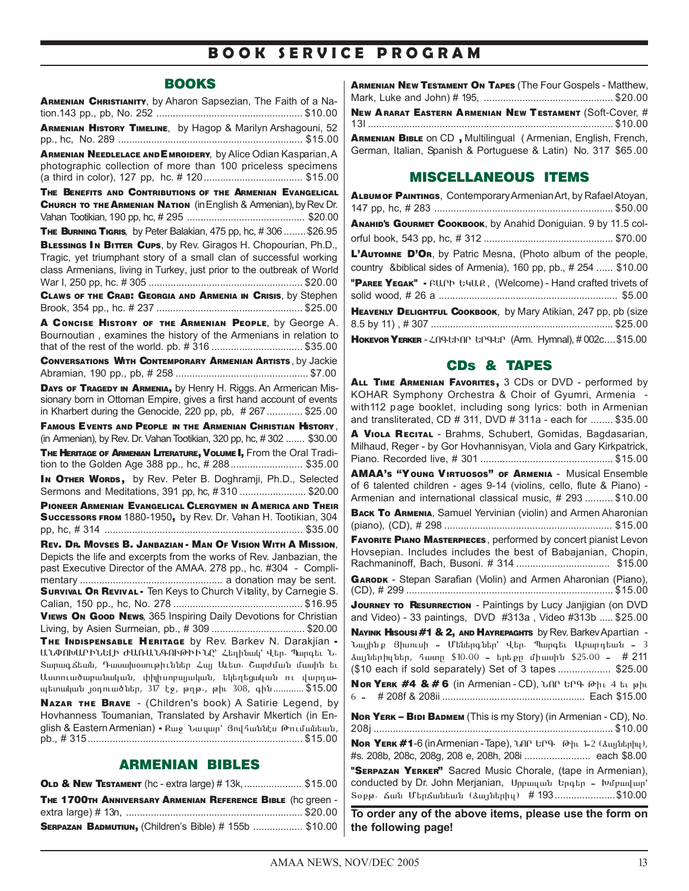## **B O O K S E R V I C E P R O G R A M**

### **BOOKS**

| ARMENIAN CHRISTIANITY, by Aharon Sapsezian, The Faith of a Na-                                                                                                                                                  |  |  |
|-----------------------------------------------------------------------------------------------------------------------------------------------------------------------------------------------------------------|--|--|
| ARMENIAN HISTORY TIMELINE, by Hagop & Marilyn Arshagouni, 52                                                                                                                                                    |  |  |
|                                                                                                                                                                                                                 |  |  |
| ARMENIAN NEEDLELACE AND EMROIDERY, by Alice Odian Kasparian, A<br>photographic collection of more than 100 priceless specimens                                                                                  |  |  |
| THE BENEFITS AND CONTRIBUTIONS OF THE ARMENIAN EVANGELICAL                                                                                                                                                      |  |  |
| CHURCH TO THE ARMENIAN NATION (in English & Armenian), by Rev. Dr.                                                                                                                                              |  |  |
|                                                                                                                                                                                                                 |  |  |
| THE BURNING TIGRIS, by Peter Balakian, 475 pp, hc, #306 \$26.95                                                                                                                                                 |  |  |
| BLESSINGS IN BITTER CUPS, by Rev. Giragos H. Chopourian, Ph.D.,<br>Tragic, yet triumphant story of a small clan of successful working<br>class Armenians, living in Turkey, just prior to the outbreak of World |  |  |
| CLAWS OF THE CRAB: GEORGIA AND ARMENIA IN CRISIS, by Stephen                                                                                                                                                    |  |  |
| A CONCISE HISTORY OF THE ARMENIAN PEOPLE, by George A.                                                                                                                                                          |  |  |
| Bournoutian, examines the history of the Armenians in relation to<br>that of the rest of the world. pb. #316 \$35.00                                                                                            |  |  |
| <b>CONVERSATIONS WITH CONTEMPORARY ARMENIAN ARTISTS, by Jackie</b>                                                                                                                                              |  |  |
|                                                                                                                                                                                                                 |  |  |
| DAYS OF TRAGEDY IN ARMENIA, by Henry H. Riggs. An Armerican Mis-<br>sionary born in Ottoman Empire, gives a first hand account of events<br>in Kharbert during the Genocide, 220 pp, pb, #267 \$25.00           |  |  |
| FAMOUS EVENTS AND PEOPLE IN THE ARMENIAN CHRISTIAN HISTORY,                                                                                                                                                     |  |  |
| (in Armenian), by Rev. Dr. Vahan Tootikian, 320 pp, hc, #302  \$30.00                                                                                                                                           |  |  |
| THE HERITAGE OF ARMENIAN LITERATURE, VOLUME I, From the Oral Tradi-<br>tion to the Golden Age 388 pp., hc, # 288  \$35.00                                                                                       |  |  |
| In OTHER WORDS, by Rev. Peter B. Doghramji, Ph.D., Selected<br>Sermons and Meditations, 391 pp, hc, #310  \$20.00                                                                                               |  |  |
| PIONEER ARMENIAN EVANGELICAL CLERGYMEN IN AMERICA AND THEIR                                                                                                                                                     |  |  |
| Successors FROM 1880-1950, by Rev. Dr. Vahan H. Tootikian, 304                                                                                                                                                  |  |  |
| REV. DR. MOVSES B. JANBAZIAN - MAN OF VISION WITH A MISSION.                                                                                                                                                    |  |  |
| Depicts the life and excerpts from the works of Rev. Janbazian, the<br>past Executive Director of the AMAA. 278 pp., hc. #304 - Compli-<br>VIEWS ON Good NEWs, 365 Inspiring Daily Devotions for Christian      |  |  |
| Living, by Asien Surmeian, pb., #309  \$20.00                                                                                                                                                                   |  |  |
| THE INDISPENSABLE HERITAGE by Rev. Barkev N. Darakjian -                                                                                                                                                        |  |  |
| ԱՆՓՈԽԱՐԻՆԵԼԻ ԺԱՌԱՆԳՈՒԹԻՒՆԸ՝ Հեղինակ՝ Վեր. Պարգեւ Ն.                                                                                                                                                             |  |  |
| Տարագ ճեան, Դասախօսութիւններ Հայ Աւետ․ Շարժման մասին եւ                                                                                                                                                         |  |  |
| Աստուածաբանական, փիլիսոբայական, եկեղեցական ու վարդա-<br>պետական յօդուածներ, 317 էջ, թղթ․, թիւ 308, գին \$15.00                                                                                                  |  |  |
| NAZAR THE BRAVE - (Children's book) A Satirie Legend, by                                                                                                                                                        |  |  |
| Hovhanness Toumanian, Translated by Arshavir Mkertich (in En-<br>glish & Eastern Armenian) - Քաջ Նա կար՝ Յով հաննես Թումանեան,                                                                                  |  |  |

### ARMENIAN BIBLES

| OLD & NEW TESTAMENT (hc - extra large) #13k,  \$15.00       |  |
|-------------------------------------------------------------|--|
| THE 1700TH ANNIVERSARY ARMENIAN REFERENCE BIBLE (hc qreen - |  |
|                                                             |  |
| SERPAZAN BADMUTIUN, (Children's Bible) # 155b  \$10.00      |  |

| <b>ARMENIAN NEW TESTAMENT ON TAPES (The Four Gospels - Matthew,</b>                                                              |  |
|----------------------------------------------------------------------------------------------------------------------------------|--|
| <b>NEW ARARAT EASTERN ARMENIAN NEW TESTAMENT (Soft-Cover, #</b>                                                                  |  |
| ARMENIAN BIBLE ON CD, Multilingual (Armenian, English, French,<br>German, Italian, Spanish & Portuguese & Latin) No. 317 \$65.00 |  |

### MISCELLANEOUS ITEMS

| <b>ALBUM OF PAINTINGS, Contemporary Armenian Art, by Rafael Atoyan,</b>                                                           |
|-----------------------------------------------------------------------------------------------------------------------------------|
| Аманир's Gourmet Сооквоок, by Anahid Doniguian. 9 by 11.5 col-                                                                    |
| L'AUTOMNE D'OR, by Patric Mesna, (Photo album of the people,<br>country & biblical sides of Armenia), 160 pp, pb., # 254  \$10.00 |
| "PAREE YEGAK" - FU.Ph b4U.R, (Welcome) - Hand crafted trivets of                                                                  |
| HEAVENLY DELIGHTFUL COOKBOOK, by Mary Atikian, 247 pp, pb (size                                                                   |
| HokEvor YERKER-2096h00 60960 (Arm. Hymnal), #002c \$15.00                                                                         |

### CDs & TAPES

ALL TIME ARMENIAN FAVORITES, 3 CDs or DVD - performed by KOHAR Symphony Orchestra & Choir of Gyumri, Armenia with112 page booklet, including song lyrics: both in Armenian and transliterated, CD # 311, DVD # 311a - each for ........ \$35.00 A VIOLA RECITAL - Brahms, Schubert, Gomidas, Bagdasarian, Milhaud, Reger - by Gor Hovhannisyan, Viola and Gary Kirkpatrick, Piano. Recorded live, # 301 ................................................ \$15.00 AMAA'S "Y OUNG VIRTUOSOS" OF ARMENIA - Musical Ensemble of 6 talented children - ages 9-14 (violins, cello, flute & Piano) - Armenian and international classical music, # 293 .......... \$10.00 **BACK TO ARMENIA, Samuel Yervinian (violin) and Armen Aharonian** (piano), (CD), # 298 ............................................................. \$15.00 FAVORITE PIANO MASTERPIECES , performed by concert pianist Levon Hovsepian. Includes includes the best of Babajanian, Chopin, Rachmaninoff, Bach, Busoni. # 314 .................................. \$15.00 GARODK - Stepan Sarafian (Violin) and Armen Aharonian (Piano), (CD), # 299 ........................................................................... \$15.00 **JOURNEY TO RESURRECTION - Paintings by Lucy Janjigian (on DVD** and Video) - 33 paintings, DVD #313a , Video #313b ..... \$25.00 NAYINK HISOUSI #1 & 2, AND HAYREPAGHTS by Rev. Barkev Apartian -Նայինք Յիսուսի - Մեներգներ՝ Վեր. Պարգեւ Աբարդեան - 3 <u>ձայների</u>լներ, հատը \$10.00 - երեքը միասին \$25.00 - # 211 (\$10 each if sold separately) Set of 3 tapes ................... \$25.00 NOR YERK  $#4 8#6$  (in Armenian - CD), Unn the  $\theta$ hi 4 tu jahi Î - # 208f & 208ii .................................................... Each \$15.00 NOR YERK – BIDI BADMEM (This is my Story) (in Armenian - CD), No. 208j ....................................................................................... \$10.00 Nor YERK  $#1$ -6 (in Armenian - Tape),  $U \cap R$  is  $P \cap R$  oh 1-2 ( $\Delta u_1 \Delta u_2$ ), #s. 208b, 208c, 208g, 208 e, 208h, 208i ........................ each \$8.00 "SERPAZAN YERKER" Sacred Music Chorale, (tape in Armenian), conducted by Dr. John Merjanian, Uppunun bpqbp - bupundup' Sopp. Ճան Մերճանեան (ձայներիս) # 193.....................\$10.00 **To order any of the above items, please use the form on the following page!**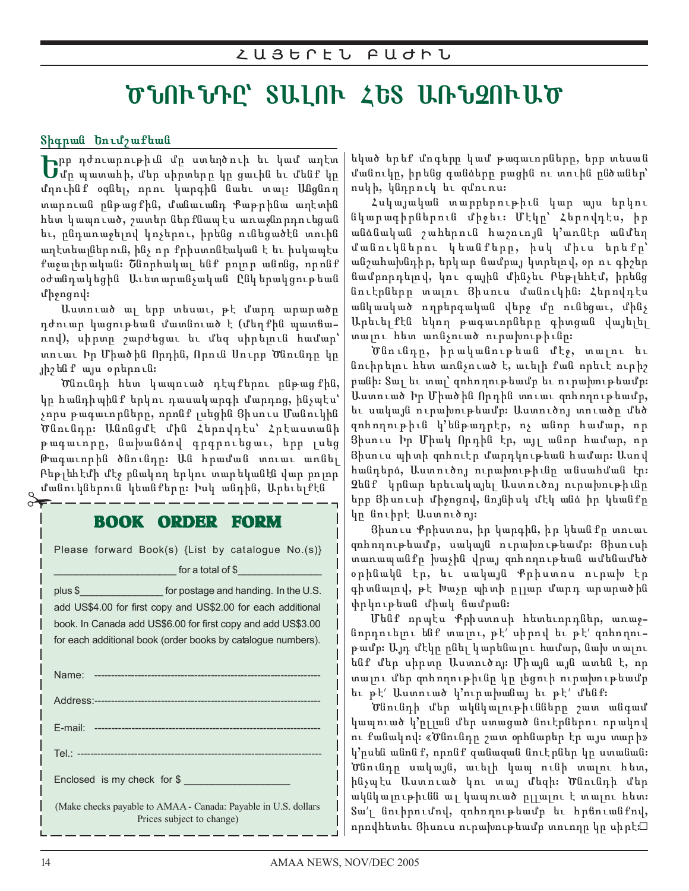# ԾՆՈՒՆԴԸ՝ ՏԱԼՈՒ ՀԵՏ ԱՌՆՉՈՒԱԾ

Տիգրան Եումշաքեան

**| թ**րթ դժուարութիւն մը ստեղծուի եւ կամ աղէտ<br>| մը պատահի, մեր սիրտերը կը ցաւին եւ մենք կը մղուինք օգնել, որու կարգին նաեւ տալ։ Անցնող տարուան ընթացքին, մանաւանդ Քաթրինա աղէտին հետ կապուած, շատեր ներքնապէս առաջնորդուեցան եւ, ընդառաջելով կոչերու, իրենց ունեցածէն տուին աղէտեայներուն, ինչ որ քրիստոնէական է եւ իսկապէս քաջալերական։ Շնորհակալ ենք բոլոր անոնց, որոնք օժանդակեցին Աւետարանչական Ընկերակցութեան  $\n *u*$   $\n *h*$   $\n *g*$   $\n *h*$   $\n *h*$   $\n *h*$   $\n *h*$   $\n *h*$   $\n *h*$   $\n *h*$   $\n *h*$   $\n *h*$   $\n *h*$   $\n *h*$   $\n *h*$   $\n *h*$   $\n *h*$   $\n *h*$   $\n$ 

Աստուած ալ երբ տեսաւ, թէ մարդ արարածը դժուար կացութեան մատնուած է (մեղքին պատճաnnվ), սիրտր շարժեցաւ եւ մեզ սիրելուն համար՝ տուաւ Իր Միածին Որդին, Որուն Սուրբ Ծնունդը կր յիշենք այս օրերուն։

Ծնունդի հետ կապուած դէպքերու ընթացքին, կը հանդիպինք երկու դասակարգի մարդոց, ինչպէս՝ չորս թագաւորները, որոնք լսեցին  $3$ իսուս Մանուկին  $\sigma$ նունդը։ Անոնցմէ մին Հերովդէս՝ Հրէաստանի թագաւորը, նախանձով գրգրուեցաւ, երբ լսեց Թագաւորին ծնունդը։ Ան հրաման տուաւ առնել Բեթլեհէմի մէջ բնակող երկու տարեկանէն վար բոլոր ջ մանուկներուն կեանքերը։ Իսկ անդին, Արեւելքէն<br>o∓ — — — — — — — — — — — — — — — — — —

## BOOK ORDER FORM

Please forward Book(s) {List by catalogue No.(s)} for a total of  $$$ 

plus \$ plus \$ contains the postage and handing. In the U.S. add US\$4.00 for first copy and US\$2.00 for each additional book. In Canada add US\$6.00 for first copy and add US\$3.00 for each additional book (order books by catalogue numbers).

| Enclosed is my check for \$                                                                 |
|---------------------------------------------------------------------------------------------|
| (Make checks payable to AMAA - Canada: Payable in U.S. dollars<br>Prices subject to change) |

եկած երեք մոգերը կամ թագաւորները, երբ տեսան մանուկը, իրենց գանձերը բացին ու տուին ընծաներ՝ ոսկի, կնդրուկ եւ զմուռս։

Հսկայական տարբերութիւն կար այս երկու նկարագիրներուն միջեւ։ Մէկր՝ Հերովդէս, իր անձնական շահերուն հաշուոյն կ'առնէր անմեղ մանուկներու կեանքերը, իսկ միւս երեքը՝ անշահախնդիր, երկար ճամբայ կտրելով, օր ու գիշեր ճամբորդելով, կու գային մինչեւ Բեթլեհէմ, իրենց նուէրները տալու Յիսուս մանուկին։ Հերովդէս անկասկած ողբերգական վերջ մը ունեցաւ, մինչ Արեւել քէն եկող թագաւորները գիտցան վայելել տալու հետ առնչուած ուրախութիւնը։

Ծնունդը, իրականութեան մէջ, տալու եւ նուիրելու հետ առնչուած է, աւելի քան որեւէ ուրիշ րանի։ Տալ եւ տալ՝ զոհողութեամբ եւ ուրախութեամբ։ Աստուած իր Միածին Որդին տուաւ զոհողութեամբ, եւ սակայն ուրախութեամբ։ Աստուծոյ տուածը մեծ զոհողութիւն կ'ենթադրէր, ոչ անոր համար, որ Ցիսուս Իր Միակ Որդին էր, այլ անոր համար, որ Ցիսուս պիտի զոհուէր մարդկութեան համար։ Ասով հանդերձ, Աստուծոյ ուրախութիւնը անսահման էր։ <u>Չ</u>ենք կրնար երեւակայել Աստուծոյ ուրախութիւնը երբ Յիսուսի միջոցով, նոյնիսկ մէկ անձ իր կեանքը կը նուիրէ Աստուծոյ։

Ցիսուս Քրիստոս, իր կարգին, իր կեանքը տուաւ gnhnղnւթեամբ, սակայն ուրախութեամբ։ Ցիսուսի տառապանքը խաչին վրայ զոհողութեան ամենամեծ օրինակն էր, եւ սակայն Քրիստոս ուրախ էր գիտնալով, թէ խաչը պիտի ըլլար մարդ արարածին փրկութեան միակ ճամբան։

Մենք որպէս Քրիստոսի հետեւորդներ, առաջնորդուելու ենք տալու, թէ՛ սիրով եւ թէ՛ զոհողութամբ։ Այդ մէկը ընել կարենալու համար, նախ տալու ենք մեր սիրտը Աստուծոյ։ Միայն այն ատեն է, որ տալու մեր զոհողութիւնը կը լեցուի ուրախութեամբ  $u \neq u'$  Աստուած կ'ուրախանայ եւ թէ' մենք։

Ծնունդի մեր ակնկալութիւնները շատ անգամ կապուած կ'րլյան մեր ստացած նուէրներու որակով nւ քանակով։ «Ծնունդը շատ օրհնաբեր էր այս տարի» կ'րսեն անոն ք, որոնք զանազան նուէրներ կր ստանան։ Ծնունդը սակայն, աւելի կապ ունի տալու հետ, ինչպէս Աստուած կու տայ մեզի։ Ծնունդի մեր ակնկալութիւնն ալ կապուած ըլլալու է տալու հետ։ Sա'<sub>l</sub> նուիրումով, զոհողութեամբ եւ հրճուանքով, որովհետեւ Ցիսուս ուրախութեամբ տուողը կը սիրէ։⊡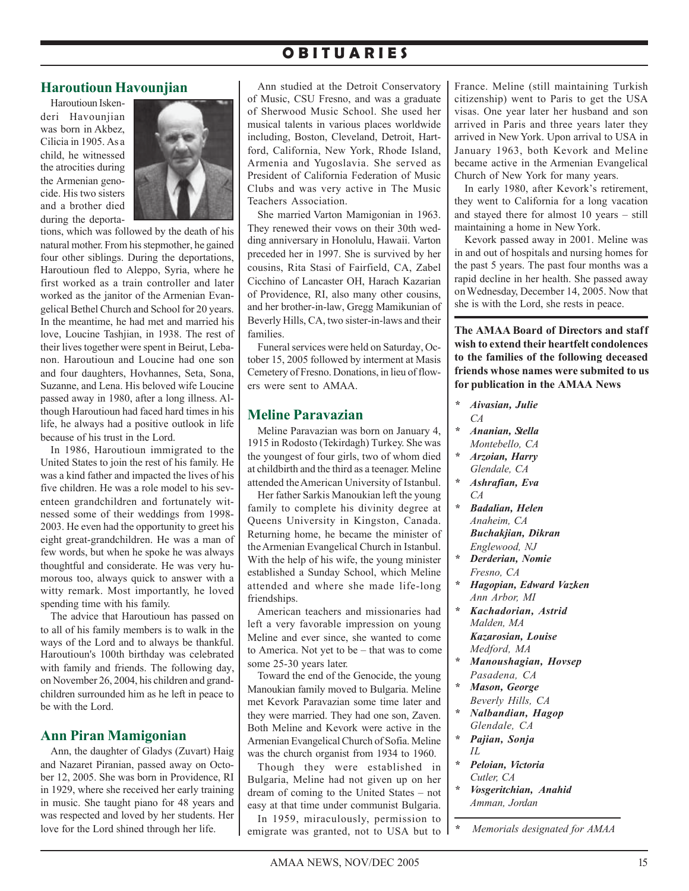## **O B I T U A R I E S**

### **Haroutioun Havounjian**

Haroutioun Iskenderi Havounjian was born in Akbez. Cilicia in 1905. As a child, he witnessed the atrocities during the Armenian genocide. His two sisters and a brother died during the deporta-



tions, which was followed by the death of his natural mother. From his stepmother, he gained four other siblings. During the deportations, Haroutioun fled to Aleppo, Syria, where he first worked as a train controller and later worked as the janitor of the Armenian Evangelical Bethel Church and School for 20 years. In the meantime, he had met and married his love, Loucine Tashjian, in 1938. The rest of their lives together were spent in Beirut, Lebanon. Haroutioun and Loucine had one son and four daughters, Hovhannes, Seta, Sona, Suzanne, and Lena. His beloved wife Loucine passed away in 1980, after a long illness. Although Haroutioun had faced hard times in his life, he always had a positive outlook in life because of his trust in the Lord.

In 1986, Haroutioun immigrated to the United States to join the rest of his family. He was a kind father and impacted the lives of his five children. He was a role model to his seventeen grandchildren and fortunately witnessed some of their weddings from 1998- 2003. He even had the opportunity to greet his eight great-grandchildren. He was a man of few words, but when he spoke he was always thoughtful and considerate. He was very humorous too, always quick to answer with a witty remark. Most importantly, he loved spending time with his family.

The advice that Haroutioun has passed on to all of his family members is to walk in the ways of the Lord and to always be thankful. Haroutioun's 100th birthday was celebrated with family and friends. The following day, on November 26, 2004, his children and grandchildren surrounded him as he left in peace to be with the Lord.

### **Ann Piran Mamigonian**

Ann, the daughter of Gladys (Zuvart) Haig and Nazaret Piranian, passed away on October 12, 2005. She was born in Providence, RI in 1929, where she received her early training in music. She taught piano for 48 years and was respected and loved by her students. Her love for the Lord shined through her life.

Ann studied at the Detroit Conservatory of Music, CSU Fresno, and was a graduate of Sherwood Music School. She used her musical talents in various places worldwide including, Boston, Cleveland, Detroit, Hartford, California, New York, Rhode Island, Armenia and Yugoslavia. She served as President of California Federation of Music Clubs and was very active in The Music Teachers Association.

She married Varton Mamigonian in 1963. They renewed their vows on their 30th wedding anniversary in Honolulu, Hawaii. Varton preceded her in 1997. She is survived by her cousins, Rita Stasi of Fairfield, CA, Zabel Cicchino of Lancaster OH, Harach Kazarian of Providence, RI, also many other cousins, and her brother-in-law, Gregg Mamikunian of Beverly Hills, CA, two sister-in-laws and their families.

Funeral services were held on Saturday, October 15, 2005 followed by interment at Masis Cemetery of Fresno. Donations, in lieu of flowers were sent to AMAA.

### **Meline Paravazian**

Meline Paravazian was born on January 4, 1915 in Rodosto (Tekirdagh) Turkey. She was the youngest of four girls, two of whom died at childbirth and the third as a teenager. Meline attended the American University of Istanbul.

Her father Sarkis Manoukian left the young family to complete his divinity degree at Queens University in Kingston, Canada. Returning home, he became the minister of the Armenian Evangelical Church in Istanbul. With the help of his wife, the young minister established a Sunday School, which Meline attended and where she made life-long friendships.

American teachers and missionaries had left a very favorable impression on young Meline and ever since, she wanted to come to America. Not yet to be – that was to come some 25-30 years later.

Toward the end of the Genocide, the young Manoukian family moved to Bulgaria. Meline met Kevork Paravazian some time later and they were married. They had one son, Zaven. Both Meline and Kevork were active in the Armenian Evangelical Church of Sofia. Meline was the church organist from 1934 to 1960.

Though they were established in Bulgaria, Meline had not given up on her dream of coming to the United States – not easy at that time under communist Bulgaria.

In 1959, miraculously, permission to emigrate was granted, not to USA but to

France. Meline (still maintaining Turkish citizenship) went to Paris to get the USA visas. One year later her husband and son arrived in Paris and three years later they arrived in New York. Upon arrival to USA in January 1963, both Kevork and Meline became active in the Armenian Evangelical Church of New York for many years.

In early 1980, after Kevork's retirement, they went to California for a long vacation and stayed there for almost 10 years – still maintaining a home in New York.

Kevork passed away in 2001. Meline was in and out of hospitals and nursing homes for the past 5 years. The past four months was a rapid decline in her health. She passed away on Wednesday, December 14, 2005. Now that she is with the Lord, she rests in peace.

**The AMAA Board of Directors and staff wish to extend their heartfelt condolences to the families of the following deceased friends whose names were submited to us for publication in the AMAA News**

- *\* Aivasian, Julie CA*
- *\* Ananian, Stella Montebello, CA*
- *\* Arzoian, Harry Glendale, CA*
- *\* Ashrafian, Eva CA*
- *\* Badalian, Helen Anaheim, CA Buchakjian, Dikran*
	- *Englewood, NJ*
- *\* Derderian, Nomie Fresno, CA*
- *\* Hagopian, Edward Vazken Ann Arbor, MI*
- *\* Kachadorian, Astrid Malden, MA Kazarosian, Louise Medford, MA*
- *\* Manoushagian, Hovsep Pasadena, CA*
- *\* Mason, George Beverly Hills, CA*
- *\* Nalbandian, Hagop Glendale, CA*
- *\* Pajian, Sonja IL*
- *\* Peloian, Victoria Cutler, CA*
- *\* Vosgeritchian, Anahid Amman, Jordan*

*\* Memorials designated for AMAA*